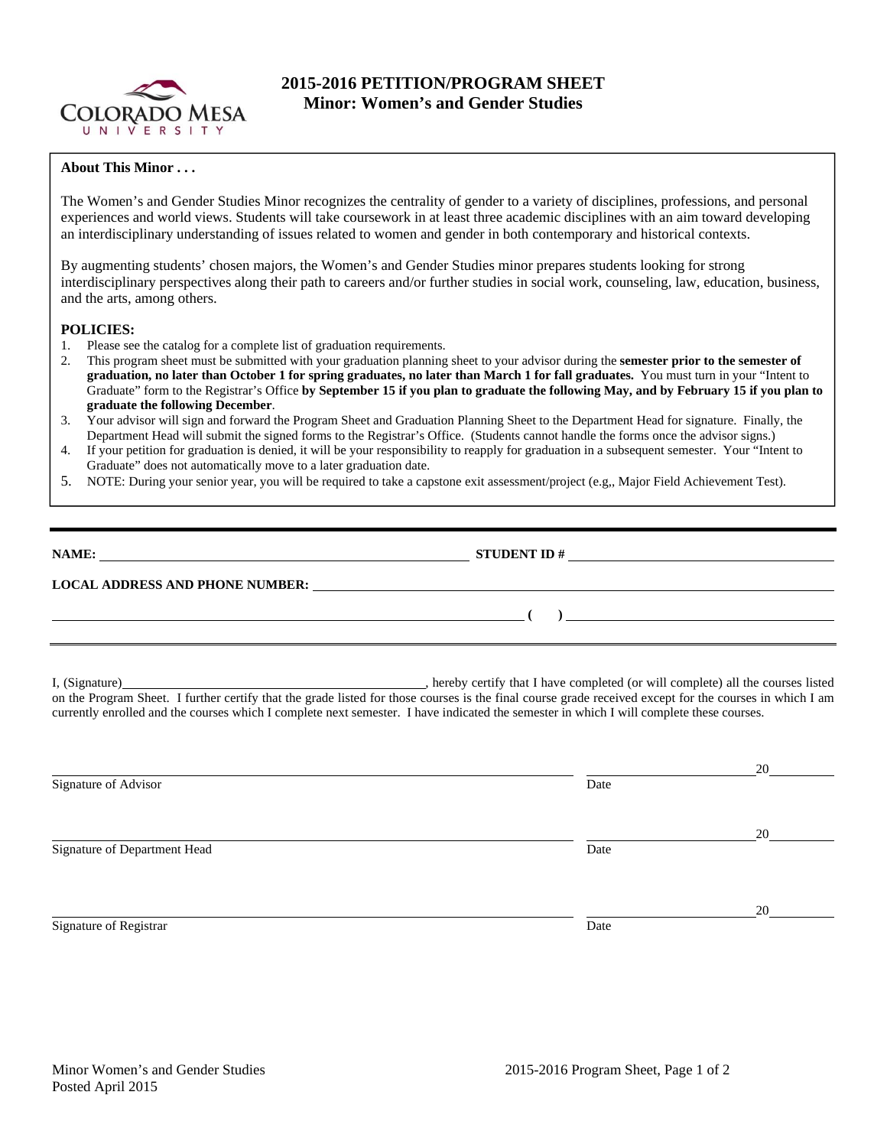

## **2015-2016 PETITION/PROGRAM SHEET Minor: Women's and Gender Studies**

## **About This Minor . . .**

The Women's and Gender Studies Minor recognizes the centrality of gender to a variety of disciplines, professions, and personal experiences and world views. Students will take coursework in at least three academic disciplines with an aim toward developing an interdisciplinary understanding of issues related to women and gender in both contemporary and historical contexts.

By augmenting students' chosen majors, the Women's and Gender Studies minor prepares students looking for strong interdisciplinary perspectives along their path to careers and/or further studies in social work, counseling, law, education, business, and the arts, among others.

## **POLICIES:**

- 1. Please see the catalog for a complete list of graduation requirements.
- 2. This program sheet must be submitted with your graduation planning sheet to your advisor during the **semester prior to the semester of graduation, no later than October 1 for spring graduates, no later than March 1 for fall graduates.** You must turn in your "Intent to Graduate" form to the Registrar's Office **by September 15 if you plan to graduate the following May, and by February 15 if you plan to graduate the following December**.
- 3. Your advisor will sign and forward the Program Sheet and Graduation Planning Sheet to the Department Head for signature. Finally, the Department Head will submit the signed forms to the Registrar's Office. (Students cannot handle the forms once the advisor signs.)
- 4. If your petition for graduation is denied, it will be your responsibility to reapply for graduation in a subsequent semester. Your "Intent to Graduate" does not automatically move to a later graduation date.
- 5. NOTE: During your senior year, you will be required to take a capstone exit assessment/project (e.g,, Major Field Achievement Test).

| NAME:                                  | <b>STUDENT ID#</b> |
|----------------------------------------|--------------------|
| <b>LOCAL ADDRESS AND PHONE NUMBER:</b> |                    |
|                                        |                    |

I, (Signature) **Solution** , hereby certify that I have completed (or will complete) all the courses listed on the Program Sheet. I further certify that the grade listed for those courses is the final course grade received except for the courses in which I am currently enrolled and the courses which I complete next semester. I have indicated the semester in which I will complete these courses.

|                              |      | 20 |
|------------------------------|------|----|
| Signature of Advisor         | Date |    |
|                              |      | 20 |
| Signature of Department Head | Date |    |
|                              |      |    |
| Signature of Registrar       | Date | 20 |